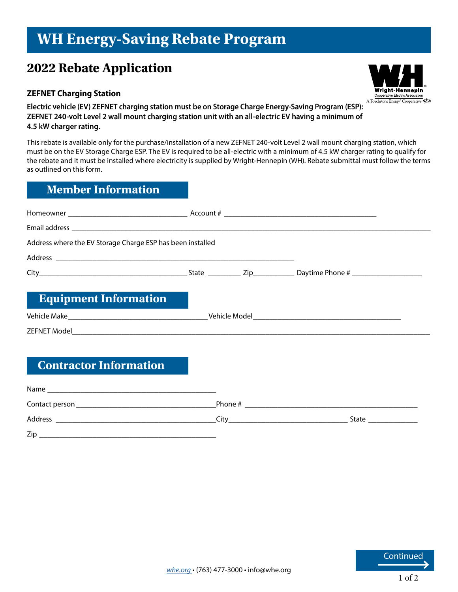# **WH Energy-Saving Rebate Program**

# **2022 Rebate Application**

#### **ZEFNET Charging Station**



**Electric vehicle (EV) ZEFNET charging station must be on Storage Charge Energy-Saving Program (ESP): ZEFNET 240-volt Level 2 wall mount charging station unit with an all-electric EV having a minimum of 4.5 kW charger rating.**

This rebate is available only for the purchase/installation of a new ZEFNET 240-volt Level 2 wall mount charging station, which must be on the EV Storage Charge ESP. The EV is required to be all-electric with a minimum of 4.5 kW charger rating to qualify for the rebate and it must be installed where electricity is supplied by Wright-Hennepin (WH). Rebate submittal must follow the terms as outlined on this form.

#### **Member Information**

| Address where the EV Storage Charge ESP has been installed |  |  |  |  |
|------------------------------------------------------------|--|--|--|--|
|                                                            |  |  |  |  |
|                                                            |  |  |  |  |
| <b>Equipment Information</b>                               |  |  |  |  |
|                                                            |  |  |  |  |
|                                                            |  |  |  |  |

## **Contractor Information**

| Name           |         |       |
|----------------|---------|-------|
| Contact person | Phone # |       |
| Address        | Citv    | State |
| Zip            |         |       |